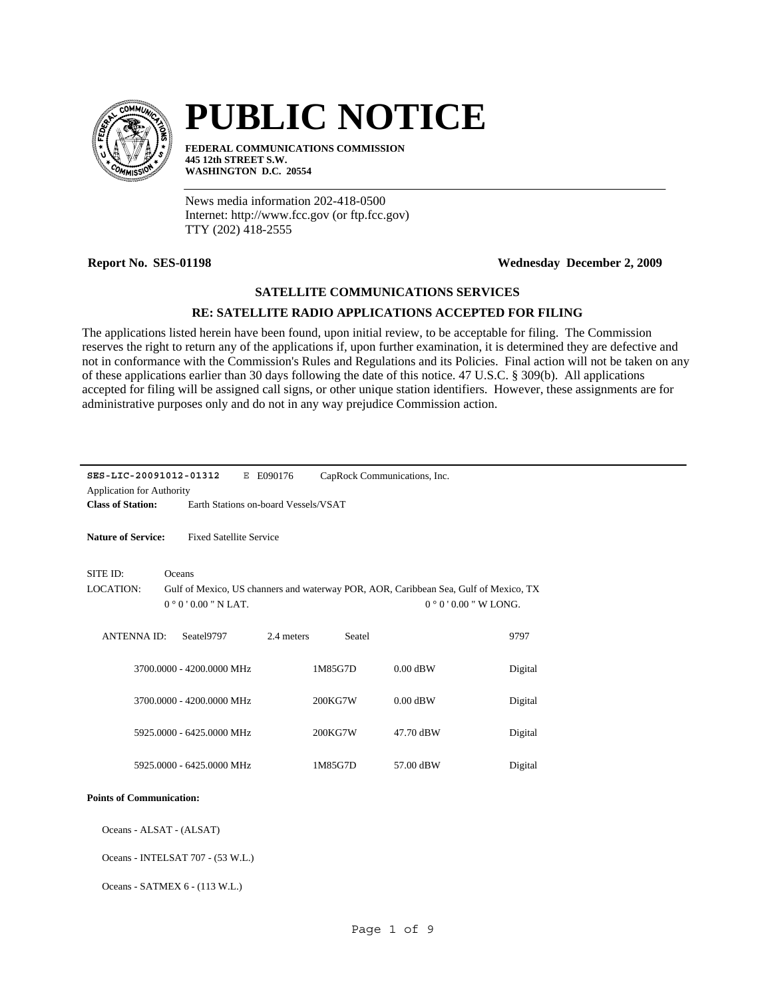

# **PUBLIC NOTICE**

**FEDERAL COMMUNICATIONS COMMISSION 445 12th STREET S.W. WASHINGTON D.C. 20554**

News media information 202-418-0500 Internet: http://www.fcc.gov (or ftp.fcc.gov) TTY (202) 418-2555

**Report No. SES-01198 Wednesday December 2, 2009**

## **SATELLITE COMMUNICATIONS SERVICES**

### **RE: SATELLITE RADIO APPLICATIONS ACCEPTED FOR FILING**

The applications listed herein have been found, upon initial review, to be acceptable for filing. The Commission reserves the right to return any of the applications if, upon further examination, it is determined they are defective and not in conformance with the Commission's Rules and Regulations and its Policies. Final action will not be taken on any of these applications earlier than 30 days following the date of this notice. 47 U.S.C. § 309(b). All applications accepted for filing will be assigned call signs, or other unique station identifiers. However, these assignments are for administrative purposes only and do not in any way prejudice Commission action.

| SES-LIC-20091012-01312<br>E090176<br>CapRock Communications, Inc.<br>Е |                                                             |                                      |            |         |                                                                                      |         |  |
|------------------------------------------------------------------------|-------------------------------------------------------------|--------------------------------------|------------|---------|--------------------------------------------------------------------------------------|---------|--|
| <b>Application for Authority</b>                                       |                                                             |                                      |            |         |                                                                                      |         |  |
| <b>Class of Station:</b>                                               |                                                             | Earth Stations on-board Vessels/VSAT |            |         |                                                                                      |         |  |
|                                                                        | <b>Nature of Service:</b><br><b>Fixed Satellite Service</b> |                                      |            |         |                                                                                      |         |  |
| SITE ID:                                                               | Oceans                                                      |                                      |            |         |                                                                                      |         |  |
| <b>LOCATION:</b>                                                       |                                                             |                                      |            |         | Gulf of Mexico, US channers and waterway POR, AOR, Caribbean Sea, Gulf of Mexico, TX |         |  |
|                                                                        |                                                             | $0°0'0.00"$ N LAT.                   |            |         | $0°0'0.00''$ W LONG.                                                                 |         |  |
|                                                                        |                                                             |                                      |            |         |                                                                                      |         |  |
| <b>ANTENNA ID:</b>                                                     |                                                             | Seatel9797                           | 2.4 meters | Seatel  |                                                                                      | 9797    |  |
|                                                                        |                                                             |                                      |            |         |                                                                                      |         |  |
|                                                                        |                                                             | 3700.0000 - 4200.0000 MHz            |            | 1M85G7D | $0.00$ dBW                                                                           | Digital |  |
|                                                                        |                                                             |                                      |            |         |                                                                                      |         |  |
|                                                                        |                                                             | 3700.0000 - 4200.0000 MHz            |            | 200KG7W | $0.00$ dBW                                                                           | Digital |  |
|                                                                        |                                                             |                                      |            |         |                                                                                      |         |  |
|                                                                        |                                                             | 5925,0000 - 6425,0000 MHz            |            | 200KG7W | 47.70 dBW                                                                            | Digital |  |
|                                                                        |                                                             |                                      |            |         |                                                                                      |         |  |
|                                                                        |                                                             | 5925,0000 - 6425,0000 MHz            |            | 1M85G7D | 57.00 dBW                                                                            | Digital |  |
|                                                                        |                                                             |                                      |            |         |                                                                                      |         |  |
| <b>Points of Communication:</b>                                        |                                                             |                                      |            |         |                                                                                      |         |  |
| Oceans - ALSAT - (ALSAT)                                               |                                                             |                                      |            |         |                                                                                      |         |  |
| Oceans - INTELSAT 707 - (53 W.L.)                                      |                                                             |                                      |            |         |                                                                                      |         |  |

Oceans - SATMEX 6 - (113 W.L.)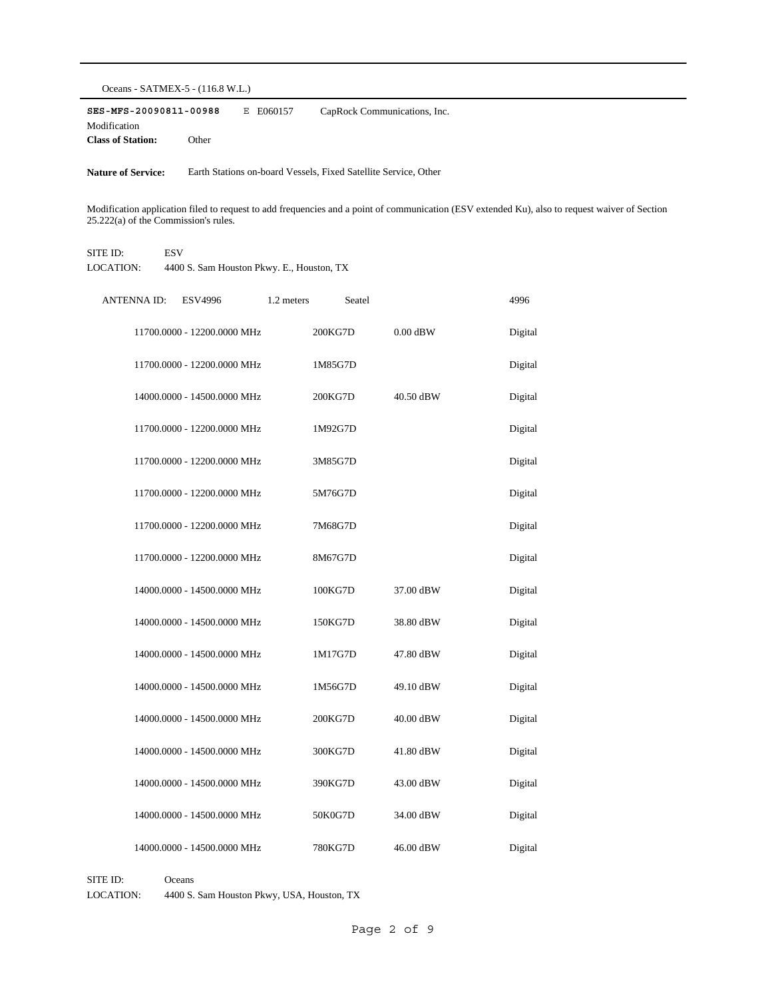Oceans - SATMEX-5 - (116.8 W.L.)

**SES-MFS-20090811-00988** E E060157 **Class of Station:** Other Modification CapRock Communications, Inc.

Nature of Service: Earth Stations on-board Vessels, Fixed Satellite Service, Other

Modification application filed to request to add frequencies and a point of communication (ESV extended Ku), also to request waiver of Section 25.222(a) of the Commission's rules.

#### SITE ID: ESV

LOCATION: 4400 S. Sam Houston Pkwy. E., Houston, TX

| <b>ANTENNA ID:</b> | <b>ESV4996</b>              | 1.2 meters | Seatel  |            | 4996    |
|--------------------|-----------------------------|------------|---------|------------|---------|
|                    | 11700.0000 - 12200.0000 MHz |            | 200KG7D | $0.00$ dBW | Digital |
|                    | 11700.0000 - 12200.0000 MHz |            | 1M85G7D |            | Digital |
|                    | 14000.0000 - 14500.0000 MHz |            | 200KG7D | 40.50 dBW  | Digital |
|                    | 11700.0000 - 12200.0000 MHz |            | 1M92G7D |            | Digital |
|                    | 11700.0000 - 12200.0000 MHz |            | 3M85G7D |            | Digital |
|                    | 11700.0000 - 12200.0000 MHz |            | 5M76G7D |            | Digital |
|                    | 11700.0000 - 12200.0000 MHz |            | 7M68G7D |            | Digital |
|                    | 11700.0000 - 12200.0000 MHz |            | 8M67G7D |            | Digital |
|                    | 14000.0000 - 14500.0000 MHz |            | 100KG7D | 37.00 dBW  | Digital |
|                    | 14000.0000 - 14500.0000 MHz |            | 150KG7D | 38.80 dBW  | Digital |
|                    | 14000.0000 - 14500.0000 MHz |            | 1M17G7D | 47.80 dBW  | Digital |
|                    | 14000.0000 - 14500.0000 MHz |            | 1M56G7D | 49.10 dBW  | Digital |
|                    | 14000.0000 - 14500.0000 MHz |            | 200KG7D | 40.00 dBW  | Digital |
|                    | 14000.0000 - 14500.0000 MHz |            | 300KG7D | 41.80 dBW  | Digital |
|                    | 14000.0000 - 14500.0000 MHz |            | 390KG7D | 43.00 dBW  | Digital |
|                    | 14000.0000 - 14500.0000 MHz |            | 50K0G7D | 34.00 dBW  | Digital |
|                    | 14000.0000 - 14500.0000 MHz |            | 780KG7D | 46.00 dBW  | Digital |

SITE ID: Oceans LOCATION: 4400 S. Sam Houston Pkwy, USA, Houston, TX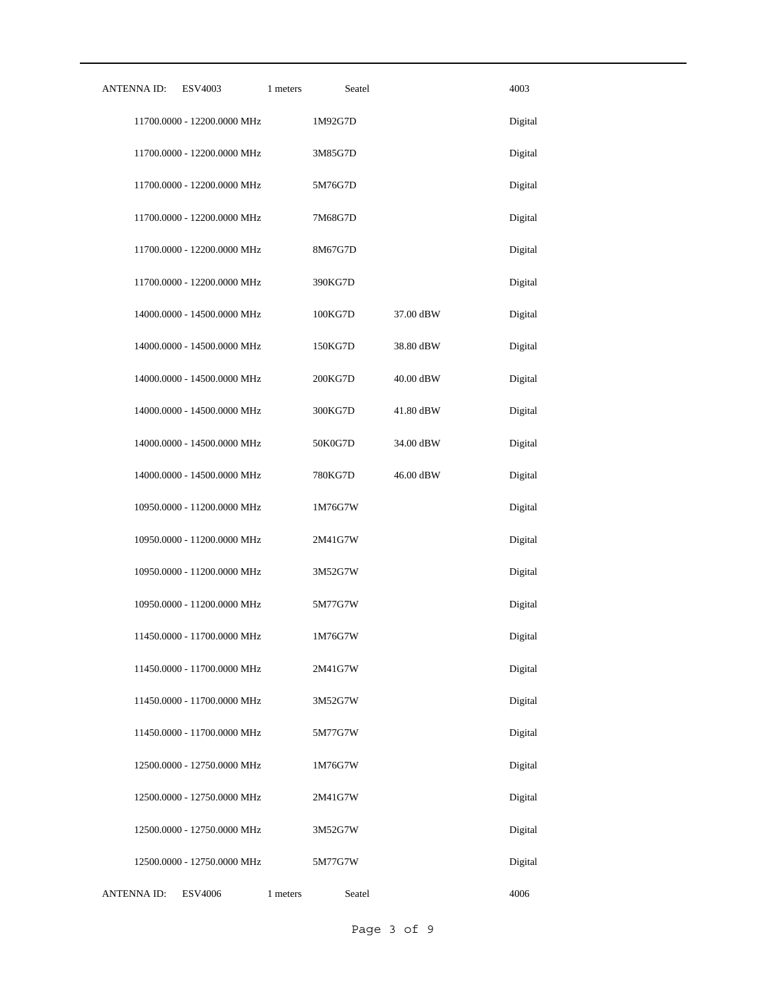| <b>ANTENNA ID:</b> | <b>ESV4003</b><br>1 meters  | Seatel  |                       | 4003    |
|--------------------|-----------------------------|---------|-----------------------|---------|
|                    | 11700.0000 - 12200.0000 MHz | 1M92G7D |                       | Digital |
|                    | 11700.0000 - 12200.0000 MHz | 3M85G7D |                       | Digital |
|                    | 11700.0000 - 12200.0000 MHz | 5M76G7D |                       | Digital |
|                    | 11700.0000 - 12200.0000 MHz | 7M68G7D |                       | Digital |
|                    | 11700.0000 - 12200.0000 MHz | 8M67G7D |                       | Digital |
|                    | 11700.0000 - 12200.0000 MHz | 390KG7D |                       | Digital |
|                    | 14000.0000 - 14500.0000 MHz | 100KG7D | $37.00\ \mathrm{dBW}$ | Digital |
|                    | 14000.0000 - 14500.0000 MHz | 150KG7D | 38.80 dBW             | Digital |
|                    | 14000.0000 - 14500.0000 MHz | 200KG7D | 40.00 dBW             | Digital |
|                    | 14000.0000 - 14500.0000 MHz | 300KG7D | 41.80 dBW             | Digital |
|                    | 14000.0000 - 14500.0000 MHz | 50K0G7D | 34.00 dBW             | Digital |
|                    | 14000.0000 - 14500.0000 MHz | 780KG7D | 46.00 dBW             | Digital |
|                    | 10950.0000 - 11200.0000 MHz | 1M76G7W |                       | Digital |
|                    | 10950.0000 - 11200.0000 MHz | 2M41G7W |                       | Digital |
|                    | 10950.0000 - 11200.0000 MHz | 3M52G7W |                       | Digital |
|                    | 10950.0000 - 11200.0000 MHz | 5M77G7W |                       | Digital |
|                    | 11450.0000 - 11700.0000 MHz | 1M76G7W |                       | Digital |
|                    | 11450.0000 - 11700.0000 MHz | 2M41G7W |                       | Digital |
|                    | 11450.0000 - 11700.0000 MHz | 3M52G7W |                       | Digital |
|                    | 11450.0000 - 11700.0000 MHz | 5M77G7W |                       | Digital |
|                    | 12500.0000 - 12750.0000 MHz | 1M76G7W |                       | Digital |
|                    | 12500.0000 - 12750.0000 MHz | 2M41G7W |                       | Digital |
|                    | 12500.0000 - 12750.0000 MHz | 3M52G7W |                       | Digital |
|                    | 12500.0000 - 12750.0000 MHz | 5M77G7W |                       | Digital |
| <b>ANTENNA ID:</b> | <b>ESV4006</b><br>1 meters  | Seatel  |                       | 4006    |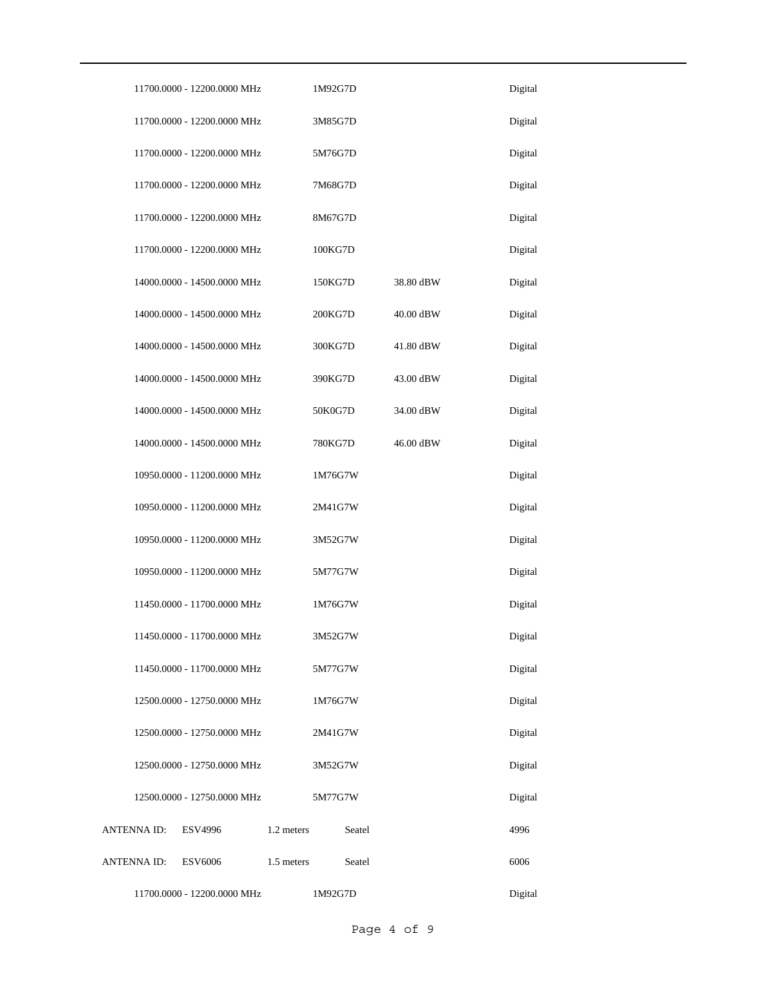|             | 11700.0000 - 12200.0000 MHz |            | 1M92G7D |        |           | Digital |
|-------------|-----------------------------|------------|---------|--------|-----------|---------|
|             | 11700.0000 - 12200.0000 MHz |            | 3M85G7D |        |           | Digital |
|             | 11700.0000 - 12200.0000 MHz |            | 5M76G7D |        |           | Digital |
|             | 11700.0000 - 12200.0000 MHz |            | 7M68G7D |        |           | Digital |
|             | 11700.0000 - 12200.0000 MHz |            | 8M67G7D |        |           | Digital |
|             | 11700.0000 - 12200.0000 MHz |            | 100KG7D |        |           | Digital |
|             | 14000.0000 - 14500.0000 MHz |            | 150KG7D |        | 38.80 dBW | Digital |
|             | 14000.0000 - 14500.0000 MHz |            | 200KG7D |        | 40.00 dBW | Digital |
|             | 14000.0000 - 14500.0000 MHz |            | 300KG7D |        | 41.80 dBW | Digital |
|             | 14000.0000 - 14500.0000 MHz |            | 390KG7D |        | 43.00 dBW | Digital |
|             | 14000.0000 - 14500.0000 MHz |            | 50K0G7D |        | 34.00 dBW | Digital |
|             | 14000.0000 - 14500.0000 MHz |            | 780KG7D |        | 46.00 dBW | Digital |
|             | 10950.0000 - 11200.0000 MHz |            | 1M76G7W |        |           | Digital |
|             | 10950.0000 - 11200.0000 MHz |            | 2M41G7W |        |           | Digital |
|             | 10950.0000 - 11200.0000 MHz |            | 3M52G7W |        |           | Digital |
|             | 10950.0000 - 11200.0000 MHz |            | 5M77G7W |        |           | Digital |
|             | 11450.0000 - 11700.0000 MHz |            | 1M76G7W |        |           | Digital |
|             | 11450.0000 - 11700.0000 MHz |            | 3M52G7W |        |           | Digital |
|             | 11450.0000 - 11700.0000 MHz |            | 5M77G7W |        |           | Digital |
|             | 12500.0000 - 12750.0000 MHz |            | 1M76G7W |        |           | Digital |
|             | 12500.0000 - 12750.0000 MHz |            | 2M41G7W |        |           | Digital |
|             | 12500.0000 - 12750.0000 MHz |            | 3M52G7W |        |           | Digital |
|             | 12500.0000 - 12750.0000 MHz |            | 5M77G7W |        |           | Digital |
| ANTENNA ID: | ESV4996                     | 1.2 meters |         | Seatel |           | 4996    |
| ANTENNA ID: | <b>ESV6006</b>              | 1.5 meters |         | Seatel |           | 6006    |
|             | 11700.0000 - 12200.0000 MHz |            | 1M92G7D |        |           | Digital |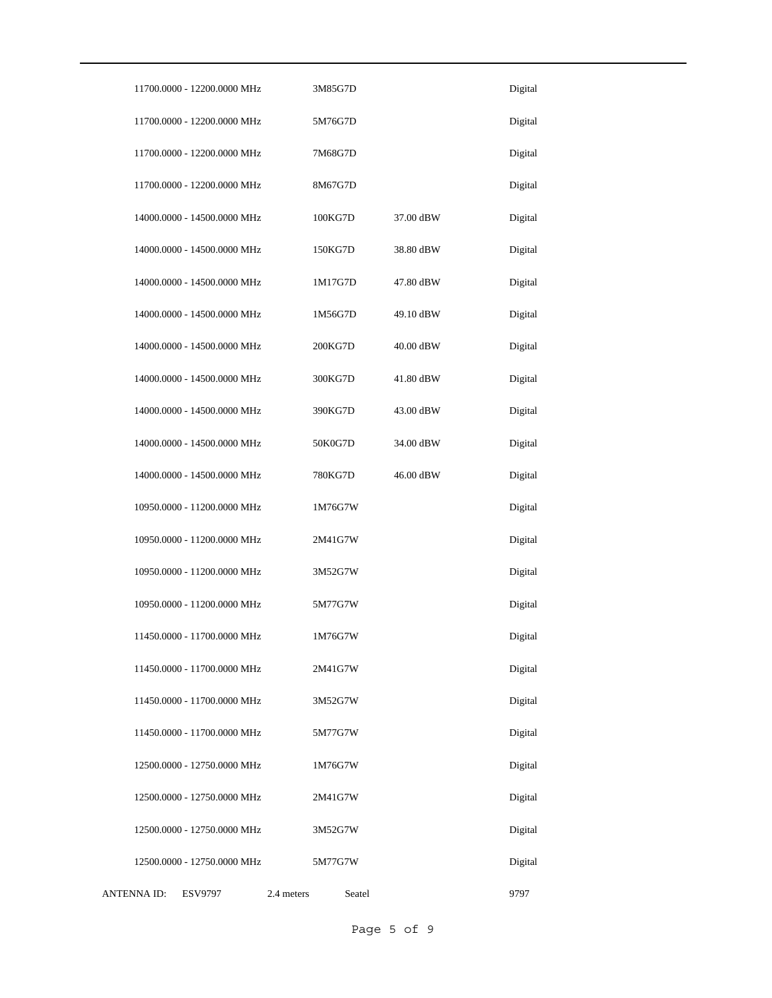| 11700.0000 - 12200.0000 MHz   | 3M85G7D              |           | Digital |
|-------------------------------|----------------------|-----------|---------|
| 11700.0000 - 12200.0000 MHz   | 5M76G7D              |           | Digital |
| 11700.0000 - 12200.0000 MHz   | 7M68G7D              |           | Digital |
| 11700.0000 - 12200.0000 MHz   | 8M67G7D              |           | Digital |
| 14000.0000 - 14500.0000 MHz   | 100KG7D              | 37.00 dBW | Digital |
| 14000.0000 - 14500.0000 MHz   | 150KG7D              | 38.80 dBW | Digital |
| 14000.0000 - 14500.0000 MHz   | 1M17G7D              | 47.80 dBW | Digital |
| 14000.0000 - 14500.0000 MHz   | 1M56G7D              | 49.10 dBW | Digital |
| 14000.0000 - 14500.0000 MHz   | 200KG7D              | 40.00 dBW | Digital |
| 14000.0000 - 14500.0000 MHz   | 300KG7D              | 41.80 dBW | Digital |
| 14000.0000 - 14500.0000 MHz   | 390KG7D              | 43.00 dBW | Digital |
| 14000.0000 - 14500.0000 MHz   | 50K0G7D              | 34.00 dBW | Digital |
| 14000.0000 - 14500.0000 MHz   | 780KG7D              | 46.00 dBW | Digital |
| 10950.0000 - 11200.0000 MHz   | 1M76G7W              |           | Digital |
| 10950.0000 - 11200.0000 MHz   | 2M41G7W              |           | Digital |
| 10950.0000 - 11200.0000 MHz   | 3M52G7W              |           | Digital |
| 10950.0000 - 11200.0000 MHz   | 5M77G7W              |           | Digital |
| 11450.0000 - 11700.0000 MHz   | 1M76G7W              |           | Digital |
| 11450.0000 - 11700.0000 MHz   | 2M41G7W              |           | Digital |
| 11450.0000 - 11700.0000 MHz   | 3M52G7W              |           | Digital |
| 11450.0000 - 11700.0000 MHz   | 5M77G7W              |           | Digital |
| 12500.0000 - 12750.0000 MHz   | 1M76G7W              |           | Digital |
| 12500.0000 - 12750.0000 MHz   | 2M41G7W              |           | Digital |
| 12500.0000 - 12750.0000 MHz   | 3M52G7W              |           | Digital |
| 12500.0000 - 12750.0000 MHz   | 5M77G7W              |           | Digital |
| ANTENNA ID:<br><b>ESV9797</b> | 2.4 meters<br>Seatel |           | 9797    |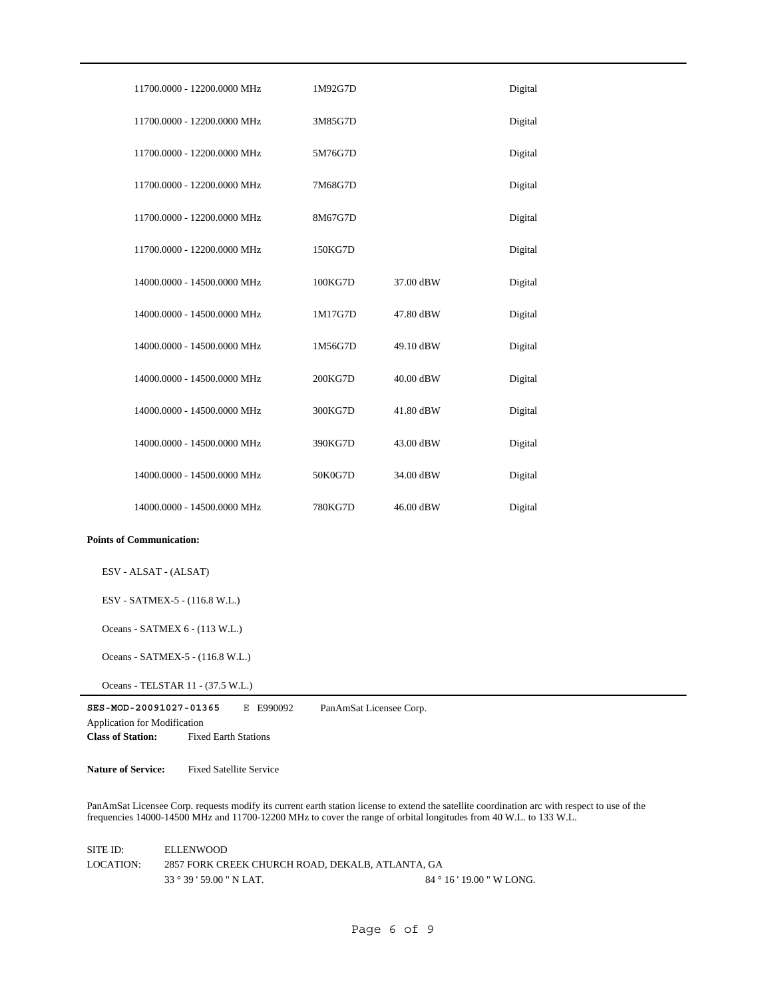| 11700.0000 - 12200.0000 MHz                                                                                                           | 1M92G7D                 |           | Digital |
|---------------------------------------------------------------------------------------------------------------------------------------|-------------------------|-----------|---------|
| 11700.0000 - 12200.0000 MHz                                                                                                           | 3M85G7D                 |           | Digital |
| 11700.0000 - 12200.0000 MHz                                                                                                           | 5M76G7D                 |           | Digital |
| 11700.0000 - 12200.0000 MHz                                                                                                           | 7M68G7D                 |           | Digital |
| 11700.0000 - 12200.0000 MHz                                                                                                           | 8M67G7D                 |           | Digital |
| 11700.0000 - 12200.0000 MHz                                                                                                           | 150KG7D                 |           | Digital |
| 14000.0000 - 14500.0000 MHz                                                                                                           | 100KG7D                 | 37.00 dBW | Digital |
| 14000.0000 - 14500.0000 MHz                                                                                                           | 1M17G7D                 | 47.80 dBW | Digital |
| 14000.0000 - 14500.0000 MHz                                                                                                           | 1M56G7D                 | 49.10 dBW | Digital |
| 14000.0000 - 14500.0000 MHz                                                                                                           | 200KG7D                 | 40.00 dBW | Digital |
| 14000.0000 - 14500.0000 MHz                                                                                                           | 300KG7D                 | 41.80 dBW | Digital |
| 14000.0000 - 14500.0000 MHz                                                                                                           | 390KG7D                 | 43.00 dBW | Digital |
| 14000.0000 - 14500.0000 MHz                                                                                                           | 50K0G7D                 | 34.00 dBW | Digital |
| 14000.0000 - 14500.0000 MHz                                                                                                           | 780KG7D                 | 46.00 dBW | Digital |
| <b>Points of Communication:</b>                                                                                                       |                         |           |         |
| ESV - ALSAT - (ALSAT)                                                                                                                 |                         |           |         |
| ESV - SATMEX-5 - (116.8 W.L.)                                                                                                         |                         |           |         |
| Oceans - SATMEX 6 - (113 W.L.)                                                                                                        |                         |           |         |
| Oceans - SATMEX-5 - (116.8 W.L.)                                                                                                      |                         |           |         |
| Oceans - TELSTAR 11 - (37.5 W.L.)                                                                                                     |                         |           |         |
| SES-MOD-20091027-01365<br>E E990092<br><b>Application for Modification</b><br><b>Class of Station:</b><br><b>Fixed Earth Stations</b> | PanAmSat Licensee Corp. |           |         |
|                                                                                                                                       |                         |           |         |

**Nature of Service:** Fixed Satellite Service

PanAmSat Licensee Corp. requests modify its current earth station license to extend the satellite coordination arc with respect to use of the frequencies 14000-14500 MHz and 11700-12200 MHz to cover the range of orbital longitudes from 40 W.L. to 133 W.L.

33 ° 39 ' 59.00 " N LAT. SITE ID: ELLENWOOD 2857 FORK CREEK CHURCH ROAD, DEKALB, ATLANTA, GA 84 ° 16 ' 19.00 " W LONG. LOCATION: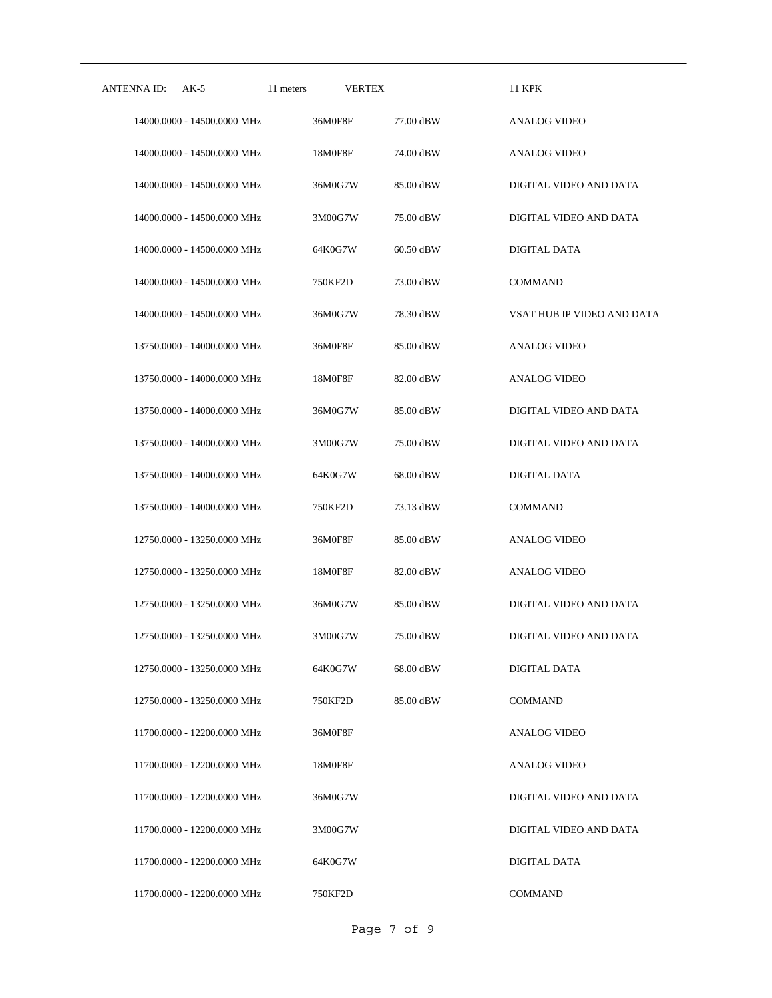| ANTENNA ID: | $AK-5$                      | 11 meters | <b>VERTEX</b> |           | <b>11 KPK</b>              |
|-------------|-----------------------------|-----------|---------------|-----------|----------------------------|
|             | 14000.0000 - 14500.0000 MHz |           | 36M0F8F       | 77.00 dBW | <b>ANALOG VIDEO</b>        |
|             | 14000.0000 - 14500.0000 MHz |           | 18M0F8F       | 74.00 dBW | <b>ANALOG VIDEO</b>        |
|             | 14000.0000 - 14500.0000 MHz |           | 36M0G7W       | 85.00 dBW | DIGITAL VIDEO AND DATA     |
|             | 14000.0000 - 14500.0000 MHz |           | 3M00G7W       | 75.00 dBW | DIGITAL VIDEO AND DATA     |
|             | 14000.0000 - 14500.0000 MHz |           | 64K0G7W       | 60.50 dBW | DIGITAL DATA               |
|             | 14000.0000 - 14500.0000 MHz |           | 750KF2D       | 73.00 dBW | <b>COMMAND</b>             |
|             | 14000.0000 - 14500.0000 MHz |           | 36M0G7W       | 78.30 dBW | VSAT HUB IP VIDEO AND DATA |
|             | 13750.0000 - 14000.0000 MHz |           | 36M0F8F       | 85.00 dBW | ANALOG VIDEO               |
|             | 13750.0000 - 14000.0000 MHz |           | 18M0F8F       | 82.00 dBW | <b>ANALOG VIDEO</b>        |
|             | 13750.0000 - 14000.0000 MHz |           | 36M0G7W       | 85.00 dBW | DIGITAL VIDEO AND DATA     |
|             | 13750.0000 - 14000.0000 MHz |           | 3M00G7W       | 75.00 dBW | DIGITAL VIDEO AND DATA     |
|             | 13750.0000 - 14000.0000 MHz |           | 64K0G7W       | 68.00 dBW | DIGITAL DATA               |
|             | 13750.0000 - 14000.0000 MHz |           | 750KF2D       | 73.13 dBW | <b>COMMAND</b>             |
|             | 12750.0000 - 13250.0000 MHz |           | 36M0F8F       | 85.00 dBW | ANALOG VIDEO               |
|             | 12750.0000 - 13250.0000 MHz |           | 18M0F8F       | 82.00 dBW | <b>ANALOG VIDEO</b>        |
|             | 12750.0000 - 13250.0000 MHz |           | 36M0G7W       | 85.00 dBW | DIGITAL VIDEO AND DATA     |
|             | 12750.0000 - 13250.0000 MHz |           | 3M00G7W       | 75.00 dBW | DIGITAL VIDEO AND DATA     |
|             | 12750.0000 - 13250.0000 MHz |           | 64K0G7W       | 68.00 dBW | DIGITAL DATA               |
|             | 12750.0000 - 13250.0000 MHz |           | 750KF2D       | 85.00 dBW | <b>COMMAND</b>             |
|             | 11700.0000 - 12200.0000 MHz |           | 36M0F8F       |           | <b>ANALOG VIDEO</b>        |
|             | 11700.0000 - 12200.0000 MHz |           | 18M0F8F       |           | <b>ANALOG VIDEO</b>        |
|             | 11700.0000 - 12200.0000 MHz |           | 36M0G7W       |           | DIGITAL VIDEO AND DATA     |
|             | 11700.0000 - 12200.0000 MHz |           | 3M00G7W       |           | DIGITAL VIDEO AND DATA     |
|             | 11700.0000 - 12200.0000 MHz |           | 64K0G7W       |           | <b>DIGITAL DATA</b>        |
|             | 11700.0000 - 12200.0000 MHz |           | 750KF2D       |           | <b>COMMAND</b>             |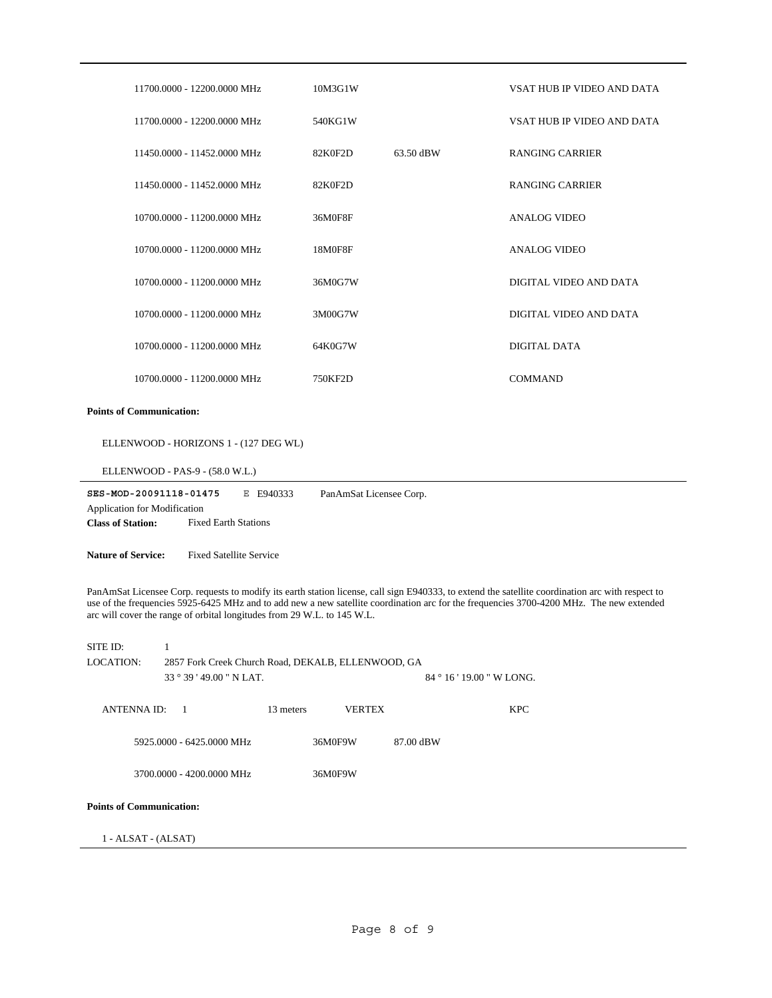|                                 | 11700.0000 - 12200.0000 MHz                                                                                                                                                                                                                                                                                                                                              | 10M3G1W       |                           | VSAT HUB IP VIDEO AND DATA |  |  |  |
|---------------------------------|--------------------------------------------------------------------------------------------------------------------------------------------------------------------------------------------------------------------------------------------------------------------------------------------------------------------------------------------------------------------------|---------------|---------------------------|----------------------------|--|--|--|
|                                 | 11700.0000 - 12200.0000 MHz                                                                                                                                                                                                                                                                                                                                              | 540KG1W       |                           | VSAT HUB IP VIDEO AND DATA |  |  |  |
|                                 | 11450.0000 - 11452.0000 MHz                                                                                                                                                                                                                                                                                                                                              | 82K0F2D       | 63.50 dBW                 | <b>RANGING CARRIER</b>     |  |  |  |
|                                 | 11450.0000 - 11452.0000 MHz                                                                                                                                                                                                                                                                                                                                              | 82K0F2D       |                           | <b>RANGING CARRIER</b>     |  |  |  |
|                                 | 10700.0000 - 11200.0000 MHz                                                                                                                                                                                                                                                                                                                                              | 36M0F8F       |                           | <b>ANALOG VIDEO</b>        |  |  |  |
|                                 | 10700.0000 - 11200.0000 MHz                                                                                                                                                                                                                                                                                                                                              | 18M0F8F       |                           | <b>ANALOG VIDEO</b>        |  |  |  |
|                                 | 10700.0000 - 11200.0000 MHz                                                                                                                                                                                                                                                                                                                                              | 36M0G7W       |                           | DIGITAL VIDEO AND DATA     |  |  |  |
|                                 | 10700.0000 - 11200.0000 MHz                                                                                                                                                                                                                                                                                                                                              | 3M00G7W       |                           | DIGITAL VIDEO AND DATA     |  |  |  |
|                                 | 10700.0000 - 11200.0000 MHz                                                                                                                                                                                                                                                                                                                                              | 64K0G7W       |                           | DIGITAL DATA               |  |  |  |
|                                 | 10700.0000 - 11200.0000 MHz                                                                                                                                                                                                                                                                                                                                              | 750KF2D       |                           | <b>COMMAND</b>             |  |  |  |
| <b>Points of Communication:</b> |                                                                                                                                                                                                                                                                                                                                                                          |               |                           |                            |  |  |  |
|                                 | ELLENWOOD - HORIZONS 1 - (127 DEG WL)                                                                                                                                                                                                                                                                                                                                    |               |                           |                            |  |  |  |
|                                 | ELLENWOOD - PAS-9 - (58.0 W.L.)                                                                                                                                                                                                                                                                                                                                          |               |                           |                            |  |  |  |
|                                 | SES-MOD-20091118-01475<br>E E940333<br>PanAmSat Licensee Corp.<br>Application for Modification<br><b>Class of Station:</b><br><b>Fixed Earth Stations</b>                                                                                                                                                                                                                |               |                           |                            |  |  |  |
|                                 | <b>Nature of Service:</b><br><b>Fixed Satellite Service</b>                                                                                                                                                                                                                                                                                                              |               |                           |                            |  |  |  |
|                                 | PanAmSat Licensee Corp. requests to modify its earth station license, call sign E940333, to extend the satellite coordination arc with respect to<br>use of the frequencies 5925-6425 MHz and to add new a new satellite coordination arc for the frequencies 3700-4200 MHz. The new extended<br>arc will cover the range of orbital longitudes from 29 W.L. to 145 W.L. |               |                           |                            |  |  |  |
| SITE ID:                        | 1                                                                                                                                                                                                                                                                                                                                                                        |               |                           |                            |  |  |  |
| LOCATION:                       | 2857 Fork Creek Church Road, DEKALB, ELLENWOOD, GA<br>33 ° 39 ' 49.00 " N LAT.                                                                                                                                                                                                                                                                                           |               | 84 ° 16 ' 19.00 " W LONG. |                            |  |  |  |
|                                 |                                                                                                                                                                                                                                                                                                                                                                          |               |                           |                            |  |  |  |
| <b>ANTENNA ID:</b>              | 13 meters<br>- 1                                                                                                                                                                                                                                                                                                                                                         | <b>VERTEX</b> |                           | <b>KPC</b>                 |  |  |  |
|                                 | 5925.0000 - 6425.0000 MHz<br>36M0F9W<br>87.00 dBW                                                                                                                                                                                                                                                                                                                        |               |                           |                            |  |  |  |
|                                 | 3700.0000 - 4200.0000 MHz<br>36M0F9W                                                                                                                                                                                                                                                                                                                                     |               |                           |                            |  |  |  |
| <b>Points of Communication:</b> |                                                                                                                                                                                                                                                                                                                                                                          |               |                           |                            |  |  |  |
| $1 - ALSAT - (ALSAT)$           |                                                                                                                                                                                                                                                                                                                                                                          |               |                           |                            |  |  |  |